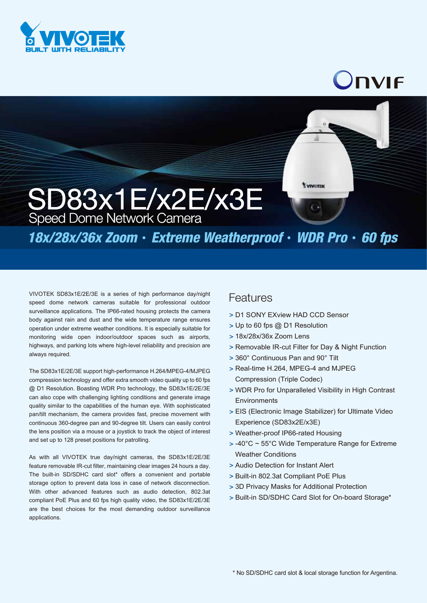

## JNVIF

## SD83x1E/x2E/x3E Speed Dome Network Camera

*18x/28x/36x Zoom*‧*Extreme Weatherproof*‧*WDR Pro*‧*60 fps*

VIVOTEK SD83x1E/2E/3E is a series of high performance day/night speed dome network cameras suitable for professional outdoor surveillance applications. The IP66-rated housing protects the camera body against rain and dust and the wide temperature range ensures operation under extreme weather conditions. It is especially suitable for monitoring wide open indoor/outdoor spaces such as airports, highways, and parking lots where high-level reliability and precision are always required.

The SD83x1E/2E/3E support high-performance H.264/MPEG-4/MJPEG compression technology and offer extra smooth video quality up to 60 fps @ D1 Resolution. Boasting WDR Pro technology, the SD83x1E/2E/3E can also cope with challenging lighting conditions and generate image quality similar to the capabilities of the human eye. With sophisticated pan/tilt mechanism, the camera provides fast, precise movement with continuous 360-degree pan and 90-degree tilt. Users can easily control the lens position via a mouse or a joystick to track the object of interest and set up to 128 preset positions for patrolling.

As with all VIVOTEK true day/night cameras, the SD83x1E/2E/3E feature removable IR-cut filter, maintaining clear images 24 hours a day. The built-in SD/SDHC card slot\* offers a convenient and portable storage option to prevent data loss in case of network disconnection. With other advanced features such as audio detection, 802.3at compliant PoE Plus and 60 fps high quality video, the SD83x1E/2E/3E are the best choices for the most demanding outdoor surveillance applications.

## **Features**

- D1 SONY EXview HAD CCD Sensor >
- Up to 60 fps @ D1 Resolution >
- 18x/28x/36x Zoom Lens >
- > Removable IR-cut Filter for Day & Night Function

*EVINGTON* 

- 360° Continuous Pan and 90° Tilt >
- > Real-time H.264, MPEG-4 and MJPEG Compression (Triple Codec)
- WDR Pro for Unparalleled Visibility in High Contrast > **Environments**
- EIS (Electronic Image Stabilizer) for Ultimate Video > Experience (SD83x2E/x3E)
- Weather-proof IP66-rated Housing >
- $>$  -40°C  $\sim$  55°C Wide Temperature Range for Extreme Weather Conditions
- Audio Detection for Instant Alert >
- > Built-in 802.3at Compliant PoE Plus
- 3D Privacy Masks for Additional Protection >
- > Built-in SD/SDHC Card Slot for On-board Storage\*